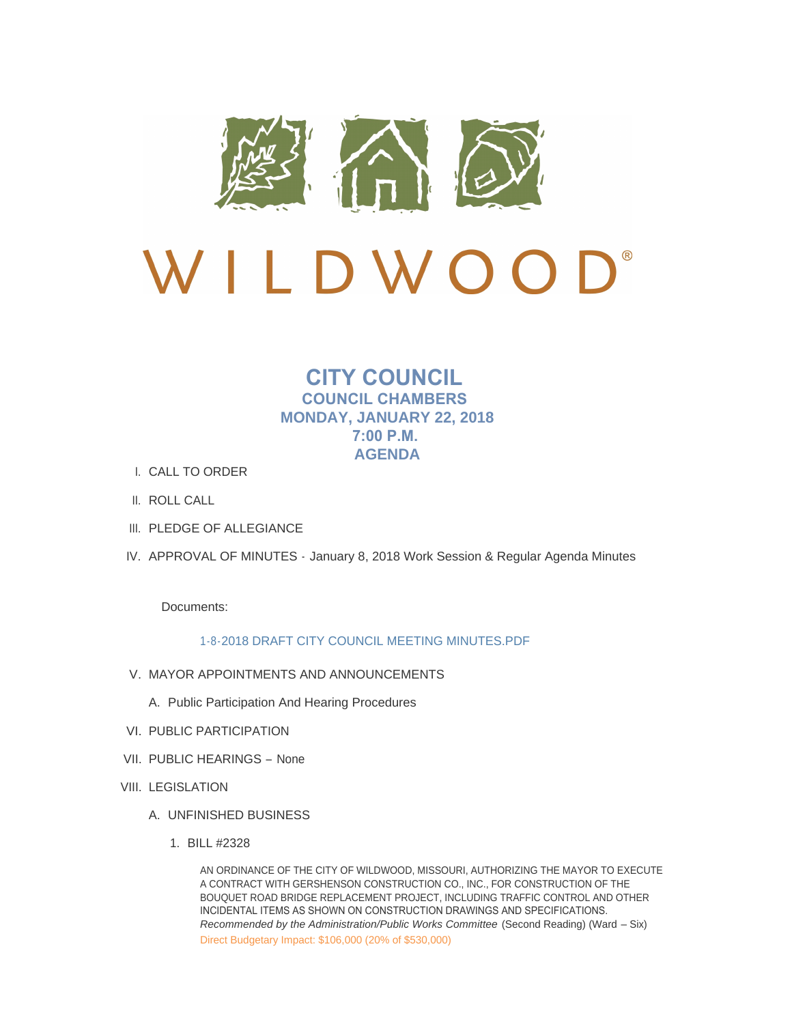

# D L D W O  $\sqrt{2}$

# **CITY COUNCIL COUNCIL CHAMBERS MONDAY, JANUARY 22, 2018 7:00 P.M. AGENDA**

- CALL TO ORDER I.
- II. ROLL CALL
- III. PLEDGE OF ALLEGIANCE
- IV. APPROVAL OF MINUTES January 8, 2018 Work Session & Regular Agenda Minutes

Documents:

# [1-8-2018 DRAFT CITY COUNCIL MEETING MINUTES.PDF](http://mo-wildwood.civicplus.com/AgendaCenter/ViewFile/Item/13795?fileID=19571)

- V. MAYOR APPOINTMENTS AND ANNOUNCEMENTS
	- A. Public Participation And Hearing Procedures
- VI. PUBLIC PARTICIPATION
- VII. PUBLIC HEARINGS None
- VIII. LEGISLATION
	- UNFINISHED BUSINESS A.
		- BILL #2328 1.

AN ORDINANCE OF THE CITY OF WILDWOOD, MISSOURI, AUTHORIZING THE MAYOR TO EXECUTE A CONTRACT WITH GERSHENSON CONSTRUCTION CO., INC., FOR CONSTRUCTION OF THE BOUQUET ROAD BRIDGE REPLACEMENT PROJECT, INCLUDING TRAFFIC CONTROL AND OTHER INCIDENTAL ITEMS AS SHOWN ON CONSTRUCTION DRAWINGS AND SPECIFICATIONS. *Recommended by the Administration/Public Works Committee (Second Reading) (Ward - Six)* Direct Budgetary Impact: \$106,000 (20% of \$530,000)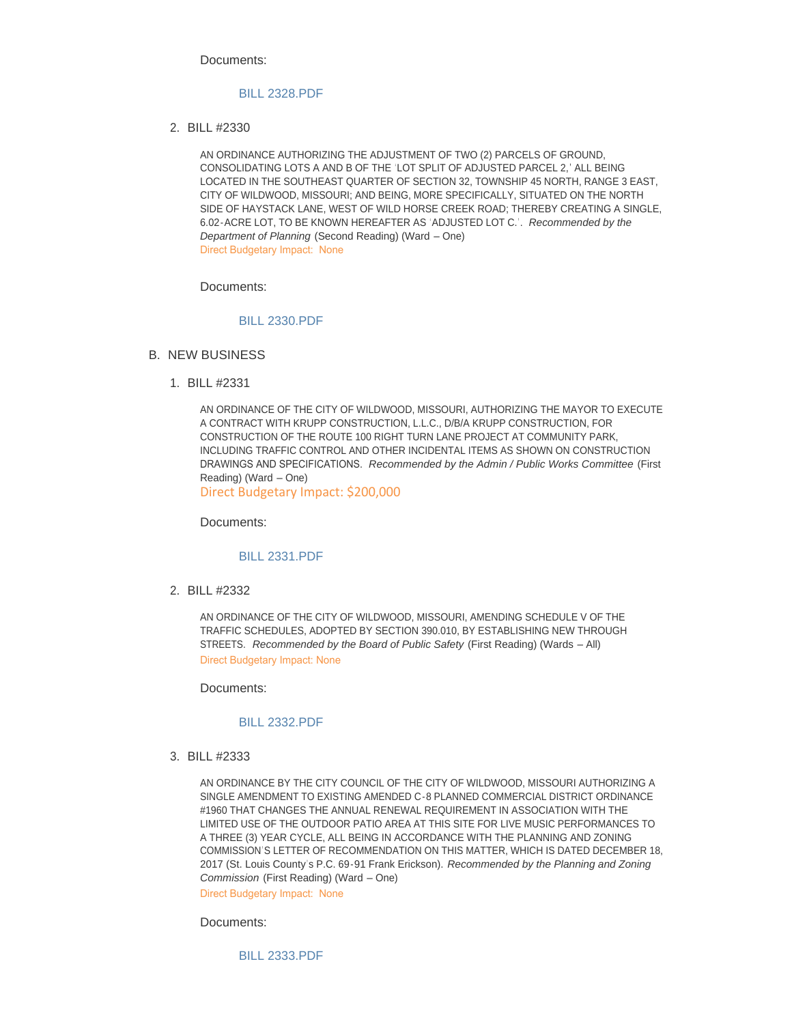Documents:

#### [BILL 2328.PDF](http://mo-wildwood.civicplus.com/AgendaCenter/ViewFile/Item/13792?fileID=19570)

BILL #2330 2.

AN ORDINANCE AUTHORIZING THE ADJUSTMENT OF TWO (2) PARCELS OF GROUND, CONSOLIDATING LOTS A AND B OF THE 'LOT SPLIT OF ADJUSTED PARCEL 2,' ALL BEING LOCATED IN THE SOUTHEAST QUARTER OF SECTION 32, TOWNSHIP 45 NORTH, RANGE 3 EAST, CITY OF WILDWOOD, MISSOURI; AND BEING, MORE SPECIFICALLY, SITUATED ON THE NORTH SIDE OF HAYSTACK LANE, WEST OF WILD HORSE CREEK ROAD; THEREBY CREATING A SINGLE, 6.02-ACRE LOT, TO BE KNOWN HEREAFTER AS 'ADJUSTED LOT C.'. *Recommended by the Department of Planning* (Second Reading) (Ward – One) Direct Budgetary Impact: None

Documents:

# [BILL 2330.PDF](http://mo-wildwood.civicplus.com/AgendaCenter/ViewFile/Item/13802?fileID=19572)

- B. NEW BUSINESS
	- BILL #2331 1.

AN ORDINANCE OF THE CITY OF WILDWOOD, MISSOURI, AUTHORIZING THE MAYOR TO EXECUTE A CONTRACT WITH KRUPP CONSTRUCTION, L.L.C., D/B/A KRUPP CONSTRUCTION, FOR CONSTRUCTION OF THE ROUTE 100 RIGHT TURN LANE PROJECT AT COMMUNITY PARK, INCLUDING TRAFFIC CONTROL AND OTHER INCIDENTAL ITEMS AS SHOWN ON CONSTRUCTION DRAWINGS AND SPECIFICATIONS. *Recommended by the Admin / Public Works Committee* (First Reading) (Ward – One) Direct Budgetary Impact: \$200,000

Documents:

#### [BILL 2331.PDF](http://mo-wildwood.civicplus.com/AgendaCenter/ViewFile/Item/13804?fileID=19624)

BILL #2332 2.

AN ORDINANCE OF THE CITY OF WILDWOOD, MISSOURI, AMENDING SCHEDULE V OF THE TRAFFIC SCHEDULES, ADOPTED BY SECTION 390.010, BY ESTABLISHING NEW THROUGH STREETS. *Recommended by the Board of Public Safety* (First Reading) (Wards – All) Direct Budgetary Impact: None

Documents:

#### [BILL 2332.PDF](http://mo-wildwood.civicplus.com/AgendaCenter/ViewFile/Item/13805?fileID=19574)

BILL #2333 3.

AN ORDINANCE BY THE CITY COUNCIL OF THE CITY OF WILDWOOD, MISSOURI AUTHORIZING A SINGLE AMENDMENT TO EXISTING AMENDED C-8 PLANNED COMMERCIAL DISTRICT ORDINANCE #1960 THAT CHANGES THE ANNUAL RENEWAL REQUIREMENT IN ASSOCIATION WITH THE LIMITED USE OF THE OUTDOOR PATIO AREA AT THIS SITE FOR LIVE MUSIC PERFORMANCES TO A THREE (3) YEAR CYCLE, ALL BEING IN ACCORDANCE WITH THE PLANNING AND ZONING COMMISSION'S LETTER OF RECOMMENDATION ON THIS MATTER, WHICH IS DATED DECEMBER 18, 2017 (St. Louis County' s P.C. 69-91 Frank Erickson). *Recommended by the Planning and Zoning Commission* (First Reading) (Ward – One)

Direct Budgetary Impact: None

Documents:

[BILL 2333.PDF](http://mo-wildwood.civicplus.com/AgendaCenter/ViewFile/Item/13806?fileID=19575)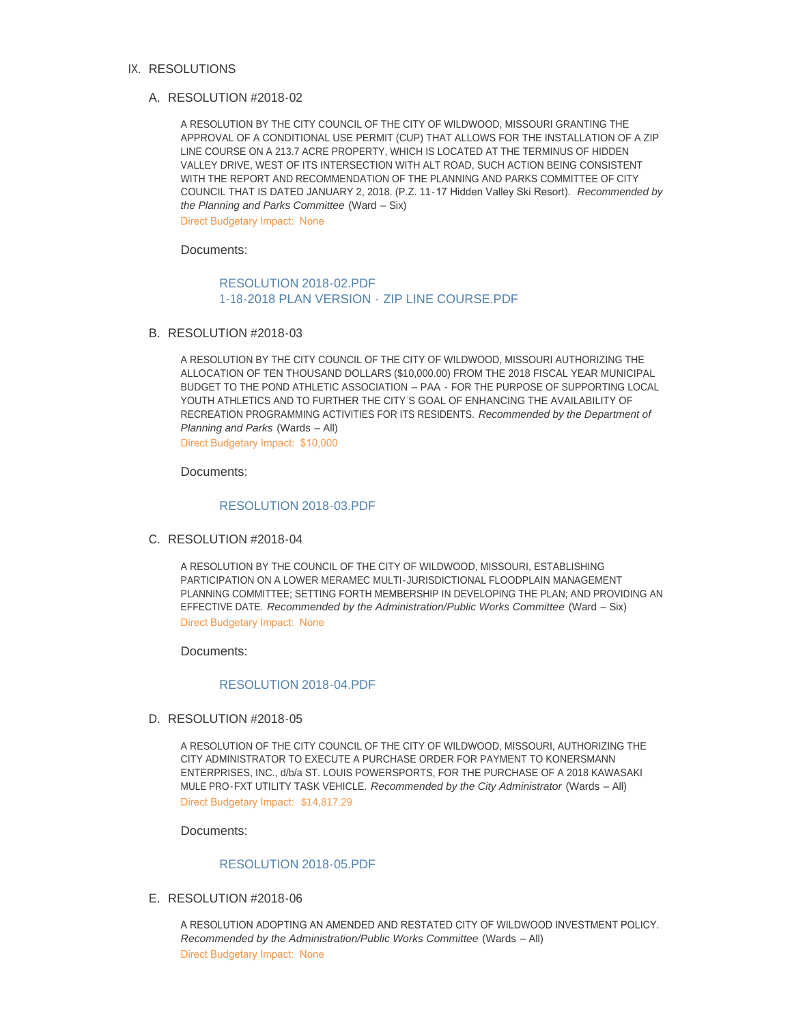#### IX. RESOLUTIONS

#### RESOLUTION #2018-02 A.

A RESOLUTION BY THE CITY COUNCIL OF THE CITY OF WILDWOOD, MISSOURI GRANTING THE APPROVAL OF A CONDITIONAL USE PERMIT (CUP) THAT ALLOWS FOR THE INSTALLATION OF A ZIP LINE COURSE ON A 213.7 ACRE PROPERTY, WHICH IS LOCATED AT THE TERMINUS OF HIDDEN VALLEY DRIVE, WEST OF ITS INTERSECTION WITH ALT ROAD, SUCH ACTION BEING CONSISTENT WITH THE REPORT AND RECOMMENDATION OF THE PLANNING AND PARKS COMMITTEE OF CITY COUNCIL THAT IS DATED JANUARY 2, 2018. (P.Z. 11-17 Hidden Valley Ski Resort). *Recommended by the Planning and Parks Committee* (Ward – Six)

Direct Budgetary Impact: None

Documents:

### [RESOLUTION 2018-02.PDF](http://mo-wildwood.civicplus.com/AgendaCenter/ViewFile/Item/13808?fileID=19576) [1-18-2018 PLAN VERSION -](http://mo-wildwood.civicplus.com/AgendaCenter/ViewFile/Item/13808?fileID=19590) ZIP LINE COURSE.PDF

B. RESOLUTION #2018-03

A RESOLUTION BY THE CITY COUNCIL OF THE CITY OF WILDWOOD, MISSOURI AUTHORIZING THE ALLOCATION OF TEN THOUSAND DOLLARS (\$10,000.00) FROM THE 2018 FISCAL YEAR MUNICIPAL BUDGET TO THE POND ATHLETIC ASSOCIATION – PAA - FOR THE PURPOSE OF SUPPORTING LOCAL YOUTH ATHLETICS AND TO FURTHER THE CITY'S GOAL OF ENHANCING THE AVAILABILITY OF RECREATION PROGRAMMING ACTIVITIES FOR ITS RESIDENTS. *Recommended by the Department of Planning and Parks* (Wards – All) Direct Budgetary Impact: \$10,000

Documents:

[RESOLUTION 2018-03.PDF](http://mo-wildwood.civicplus.com/AgendaCenter/ViewFile/Item/13809?fileID=19577)

C. RESOLUTION #2018-04

A RESOLUTION BY THE COUNCIL OF THE CITY OF WILDWOOD, MISSOURI, ESTABLISHING PARTICIPATION ON A LOWER MERAMEC MULTI-JURISDICTIONAL FLOODPLAIN MANAGEMENT PLANNING COMMITTEE; SETTING FORTH MEMBERSHIP IN DEVELOPING THE PLAN; AND PROVIDING AN EFFECTIVE DATE. *Recommended by the Administration/Public Works Committee* (Ward – Six) Direct Budgetary Impact: None

Documents:

#### [RESOLUTION 2018-04.PDF](http://mo-wildwood.civicplus.com/AgendaCenter/ViewFile/Item/13810?fileID=19578)

D. RESOLUTION #2018-05

A RESOLUTION OF THE CITY COUNCIL OF THE CITY OF WILDWOOD, MISSOURI, AUTHORIZING THE CITY ADMINISTRATOR TO EXECUTE A PURCHASE ORDER FOR PAYMENT TO KONERSMANN ENTERPRISES, INC., d/b/a ST. LOUIS POWERSPORTS, FOR THE PURCHASE OF A 2018 KAWASAKI MULE PRO-FXT UTILITY TASK VEHICLE. *Recommended by the City Administrator* (Wards – All) Direct Budgetary Impact: \$14,817.29

Documents:

#### [RESOLUTION 2018-05.PDF](http://mo-wildwood.civicplus.com/AgendaCenter/ViewFile/Item/13811?fileID=19589)

E. RESOLUTION #2018-06

A RESOLUTION ADOPTING AN AMENDED AND RESTATED CITY OF WILDWOOD INVESTMENT POLICY. *Recommended by the Administration/Public Works Committee* (Wards – All) Direct Budgetary Impact: None